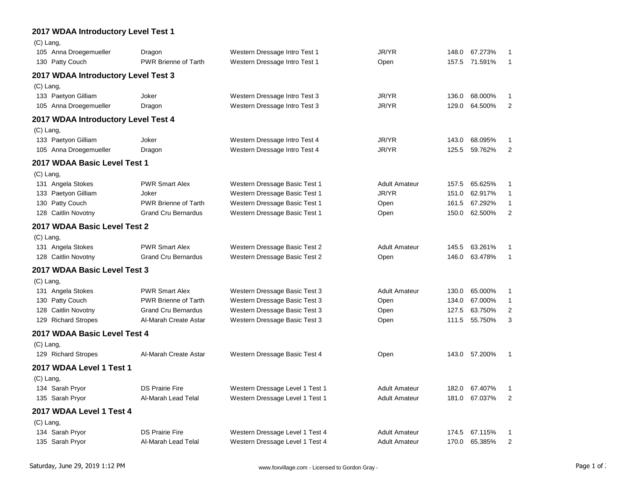## **2017 WDAA Introductory Level Test 1**

| $(C)$ Lang,                         |                             |                                 |                      |       |               |                |
|-------------------------------------|-----------------------------|---------------------------------|----------------------|-------|---------------|----------------|
| 105 Anna Droegemueller              | Dragon                      | Western Dressage Intro Test 1   | JR/YR                | 148.0 | 67.273%       | 1              |
| 130 Patty Couch                     | <b>PWR Brienne of Tarth</b> | Western Dressage Intro Test 1   | Open                 | 157.5 | 71.591%       | $\mathbf{1}$   |
| 2017 WDAA Introductory Level Test 3 |                             |                                 |                      |       |               |                |
| $(C)$ Lang,                         |                             |                                 |                      |       |               |                |
| 133 Paetyon Gilliam                 | Joker                       | Western Dressage Intro Test 3   | JR/YR                | 136.0 | 68.000%       | 1              |
| 105 Anna Droegemueller              | Dragon                      | Western Dressage Intro Test 3   | JR/YR                | 129.0 | 64.500%       | $\overline{2}$ |
| 2017 WDAA Introductory Level Test 4 |                             |                                 |                      |       |               |                |
| $(C)$ Lang,                         |                             |                                 |                      |       |               |                |
| 133 Paetyon Gilliam                 | Joker                       | Western Dressage Intro Test 4   | JR/YR                | 143.0 | 68.095%       | 1              |
| 105 Anna Droegemueller              | Dragon                      | Western Dressage Intro Test 4   | JR/YR                | 125.5 | 59.762%       | $\overline{c}$ |
| 2017 WDAA Basic Level Test 1        |                             |                                 |                      |       |               |                |
| $(C)$ Lang,                         |                             |                                 |                      |       |               |                |
| 131 Angela Stokes                   | <b>PWR Smart Alex</b>       | Western Dressage Basic Test 1   | <b>Adult Amateur</b> | 157.5 | 65.625%       | 1              |
| 133 Paetyon Gilliam                 | Joker                       | Western Dressage Basic Test 1   | JR/YR                | 151.0 | 62.917%       | 1              |
| 130 Patty Couch                     | <b>PWR Brienne of Tarth</b> | Western Dressage Basic Test 1   | Open                 | 161.5 | 67.292%       | 1              |
| Caitlin Novotny<br>128              | <b>Grand Cru Bernardus</b>  | Western Dressage Basic Test 1   | Open                 | 150.0 | 62.500%       | $\overline{2}$ |
| 2017 WDAA Basic Level Test 2        |                             |                                 |                      |       |               |                |
| $(C)$ Lang,                         |                             |                                 |                      |       |               |                |
| 131 Angela Stokes                   | <b>PWR Smart Alex</b>       | Western Dressage Basic Test 2   | <b>Adult Amateur</b> | 145.5 | 63.261%       | 1              |
| 128 Caitlin Novotny                 | <b>Grand Cru Bernardus</b>  | Western Dressage Basic Test 2   | Open                 | 146.0 | 63.478%       | $\mathbf{1}$   |
| 2017 WDAA Basic Level Test 3        |                             |                                 |                      |       |               |                |
| $(C)$ Lang,                         |                             |                                 |                      |       |               |                |
| 131 Angela Stokes                   | <b>PWR Smart Alex</b>       | Western Dressage Basic Test 3   | <b>Adult Amateur</b> | 130.0 | 65.000%       | $\mathbf{1}$   |
| 130 Patty Couch                     | <b>PWR Brienne of Tarth</b> | Western Dressage Basic Test 3   | Open                 | 134.0 | 67.000%       | 1              |
| 128 Caitlin Novotny                 | <b>Grand Cru Bernardus</b>  | Western Dressage Basic Test 3   | Open                 | 127.5 | 63.750%       | $\overline{2}$ |
| 129 Richard Stropes                 | Al-Marah Create Astar       | Western Dressage Basic Test 3   | Open                 | 111.5 | 55.750%       | 3              |
| 2017 WDAA Basic Level Test 4        |                             |                                 |                      |       |               |                |
| $(C)$ Lang,                         |                             |                                 |                      |       |               |                |
| 129 Richard Stropes                 | Al-Marah Create Astar       | Western Dressage Basic Test 4   | Open                 |       | 143.0 57.200% | 1              |
| 2017 WDAA Level 1 Test 1            |                             |                                 |                      |       |               |                |
| $(C)$ Lang,                         |                             |                                 |                      |       |               |                |
| 134 Sarah Pryor                     | <b>DS Prairie Fire</b>      | Western Dressage Level 1 Test 1 | <b>Adult Amateur</b> | 182.0 | 67.407%       | 1              |
| 135 Sarah Pryor                     | Al-Marah Lead Telal         | Western Dressage Level 1 Test 1 | <b>Adult Amateur</b> | 181.0 | 67.037%       | $\overline{2}$ |
| 2017 WDAA Level 1 Test 4            |                             |                                 |                      |       |               |                |
| $(C)$ Lang,                         |                             |                                 |                      |       |               |                |
| 134 Sarah Pryor                     | <b>DS Prairie Fire</b>      | Western Dressage Level 1 Test 4 | <b>Adult Amateur</b> | 174.5 | 67.115%       | 1              |
| 135 Sarah Pryor                     | Al-Marah Lead Telal         | Western Dressage Level 1 Test 4 | <b>Adult Amateur</b> | 170.0 | 65.385%       | $\overline{2}$ |
|                                     |                             |                                 |                      |       |               |                |